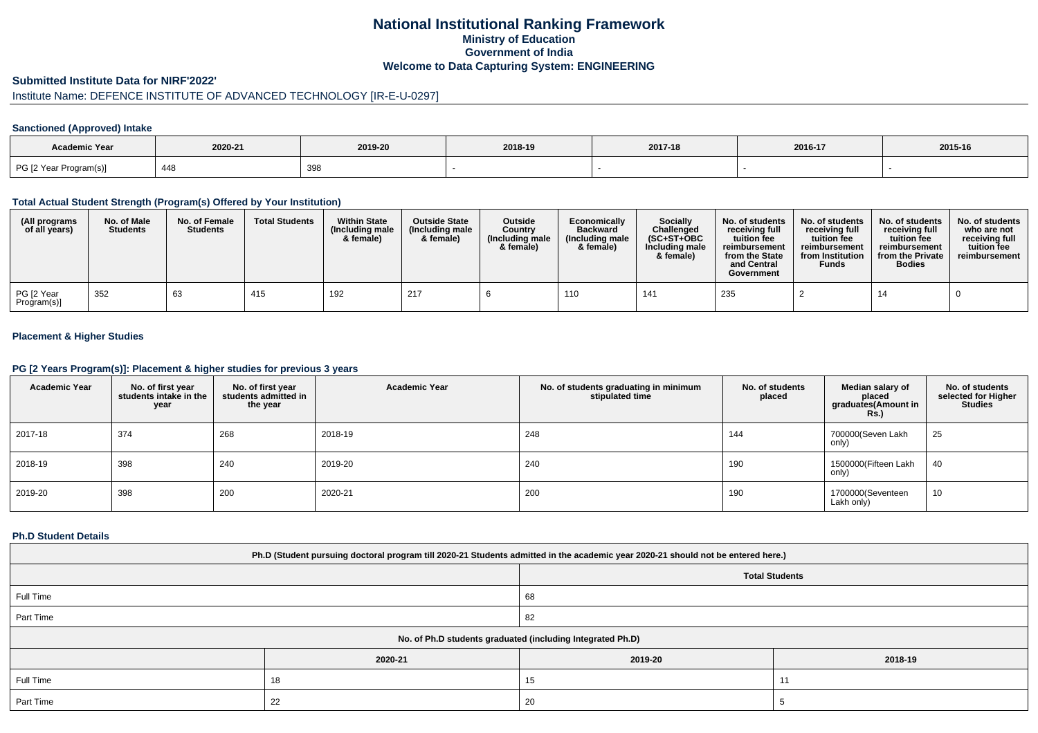# **National Institutional Ranking FrameworkMinistry of Education Government of IndiaWelcome to Data Capturing System: ENGINEERING**

### **Submitted Institute Data for NIRF'2022'**

# Institute Name: DEFENCE INSTITUTE OF ADVANCED TECHNOLOGY [IR-E-U-0297]

## **Sanctioned (Approved) Intake**

| Academic Year          |         |            |         |         |         |         |
|------------------------|---------|------------|---------|---------|---------|---------|
|                        | 2020-21 | 2019-20    | 2018-19 | 2017-18 | 2016-17 | 2015-16 |
| PG [2 Year Program(s)] | 448     | 209<br>აუი |         |         |         |         |

#### **Total Actual Student Strength (Program(s) Offered by Your Institution)**

| (All programs<br>of all years) | No. of Male<br><b>Students</b> | No. of Female<br><b>Students</b> | <b>Total Students</b> | <b>Within State</b><br>(Including male)<br>& female) | <b>Outside State</b><br>(Including male<br>& female) | Outside<br>Country<br>(Including male<br>& female) | Economically<br><b>Backward</b><br>(Including male<br>& female) | Socially<br>Challenged<br>$(SC+ST+OBC)$<br>Including male<br>& female) | No. of students<br>receiving full<br>tuition fee<br>reimbursement<br>from the State<br>and Central<br>Government | No. of students<br>receiving full<br>tuition fee<br>reimbursement<br>from Institution<br><b>Funds</b> | No. of students<br>receiving full<br>tuition fee<br>reimbursement<br>from the Private<br><b>Bodies</b> | No. of students<br>who are not<br>receiving full<br>tuition fee<br>reimbursement |
|--------------------------------|--------------------------------|----------------------------------|-----------------------|------------------------------------------------------|------------------------------------------------------|----------------------------------------------------|-----------------------------------------------------------------|------------------------------------------------------------------------|------------------------------------------------------------------------------------------------------------------|-------------------------------------------------------------------------------------------------------|--------------------------------------------------------------------------------------------------------|----------------------------------------------------------------------------------|
| PG [2 Year<br>Program(s)]      | 352                            | 63                               | 415                   | 192                                                  | 217                                                  |                                                    | 110                                                             | 141                                                                    | 235                                                                                                              |                                                                                                       | 14                                                                                                     |                                                                                  |

# **Placement & Higher Studies**

#### **PG [2 Years Program(s)]: Placement & higher studies for previous 3 years**

| <b>Academic Year</b> | No. of first year<br>students intake in the<br>year | No. of first year<br>students admitted in<br>the year | <b>Academic Year</b> | No. of students graduating in minimum<br>stipulated time | No. of students<br>placed | Median salary of<br>placed<br>graduates(Amount in<br><b>Rs.</b> ) | No. of students<br>selected for Higher<br><b>Studies</b> |
|----------------------|-----------------------------------------------------|-------------------------------------------------------|----------------------|----------------------------------------------------------|---------------------------|-------------------------------------------------------------------|----------------------------------------------------------|
| 2017-18              | 374                                                 | 268                                                   | 2018-19              | 248                                                      | 144                       | 700000(Seven Lakh<br>only)                                        | 25                                                       |
| 2018-19              | 398                                                 | 240                                                   | 2019-20              | 240                                                      | 190                       | 1500000(Fifteen Lakh<br>only)                                     | 40                                                       |
| 2019-20              | 398                                                 | 200                                                   | 2020-21              | 200                                                      | 190                       | 1700000(Seventeen<br>Lakh only)                                   | 10                                                       |

### **Ph.D Student Details**

| Ph.D (Student pursuing doctoral program till 2020-21 Students admitted in the academic year 2020-21 should not be entered here.) |                       |         |                      |  |  |  |  |
|----------------------------------------------------------------------------------------------------------------------------------|-----------------------|---------|----------------------|--|--|--|--|
|                                                                                                                                  | <b>Total Students</b> |         |                      |  |  |  |  |
| Full Time                                                                                                                        |                       | 68      |                      |  |  |  |  |
| Part Time                                                                                                                        |                       | 82      |                      |  |  |  |  |
| No. of Ph.D students graduated (including Integrated Ph.D)                                                                       |                       |         |                      |  |  |  |  |
|                                                                                                                                  | 2020-21               | 2019-20 | 2018-19              |  |  |  |  |
| Full Time                                                                                                                        | 18                    | 15      | $\ddot{\phantom{1}}$ |  |  |  |  |
| Part Time                                                                                                                        | 22                    | 20      |                      |  |  |  |  |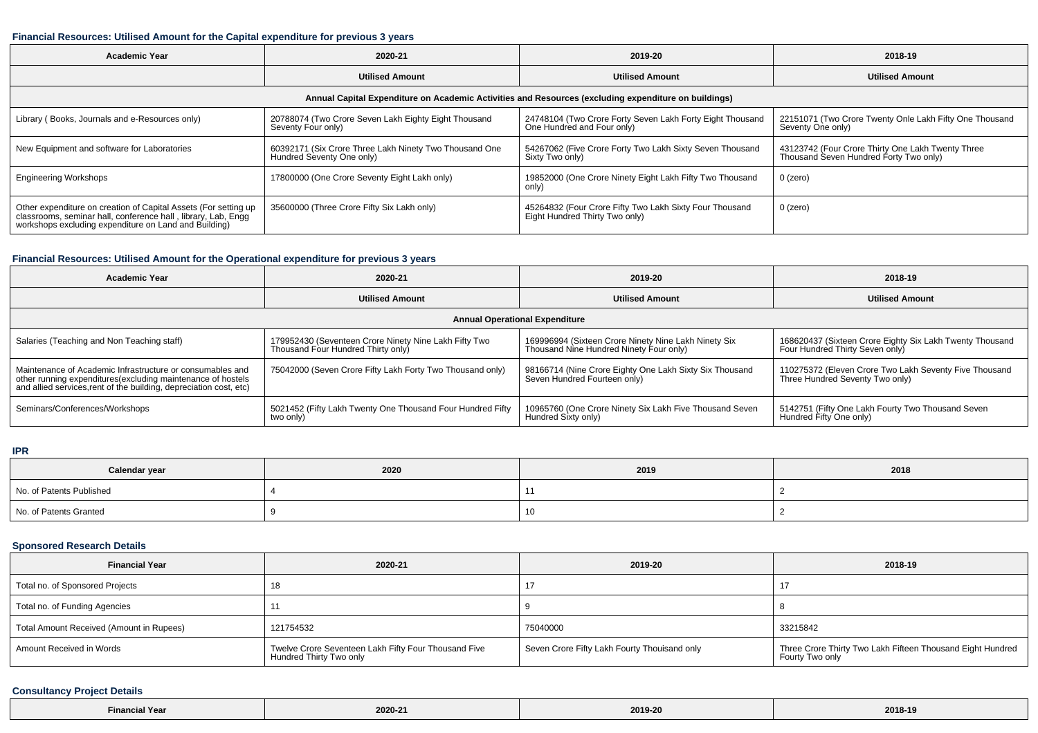## **Financial Resources: Utilised Amount for the Capital expenditure for previous 3 years**

| <b>Academic Year</b>                                                                                                                                                                      | 2020-21                                                                             | 2019-20                                                                                   | 2018-19                                                                                     |  |  |  |  |  |
|-------------------------------------------------------------------------------------------------------------------------------------------------------------------------------------------|-------------------------------------------------------------------------------------|-------------------------------------------------------------------------------------------|---------------------------------------------------------------------------------------------|--|--|--|--|--|
|                                                                                                                                                                                           | <b>Utilised Amount</b>                                                              | <b>Utilised Amount</b>                                                                    | <b>Utilised Amount</b>                                                                      |  |  |  |  |  |
| Annual Capital Expenditure on Academic Activities and Resources (excluding expenditure on buildings)                                                                                      |                                                                                     |                                                                                           |                                                                                             |  |  |  |  |  |
| Library (Books, Journals and e-Resources only)                                                                                                                                            | 20788074 (Two Crore Seven Lakh Eighty Eight Thousand<br>Seventy Four only)          | 24748104 (Two Crore Forty Seven Lakh Forty Eight Thousand<br>One Hundred and Four only)   | 22151071 (Two Crore Twenty Onle Lakh Fifty One Thousand<br>Seventy One only)                |  |  |  |  |  |
| New Equipment and software for Laboratories                                                                                                                                               | 60392171 (Six Crore Three Lakh Ninety Two Thousand One<br>Hundred Seventy One only) | 54267062 (Five Crore Forty Two Lakh Sixty Seven Thousand<br>Sixty Two only)               | 43123742 (Four Crore Thirty One Lakh Twenty Three<br>Thousand Seven Hundred Forty Two only) |  |  |  |  |  |
| <b>Engineering Workshops</b>                                                                                                                                                              | 17800000 (One Crore Seventy Eight Lakh only)                                        | 19852000 (One Crore Ninety Eight Lakh Fifty Two Thousand<br>only)                         | 0 (zero)                                                                                    |  |  |  |  |  |
| Other expenditure on creation of Capital Assets (For setting up<br>classrooms, seminar hall, conference hall, library, Lab, Engg<br>workshops excluding expenditure on Land and Building) | 35600000 (Three Crore Fifty Six Lakh only)                                          | 45264832 (Four Crore Fifty Two Lakh Sixty Four Thousand<br>Eight Hundred Thirty Two only) | 0 (zero)                                                                                    |  |  |  |  |  |

# **Financial Resources: Utilised Amount for the Operational expenditure for previous 3 years**

| <b>Academic Year</b>                                                                                                                                                                           | 2020-21                                                                                     | 2019-20                                                                                         | 2018-19                                                                                     |  |  |  |  |  |
|------------------------------------------------------------------------------------------------------------------------------------------------------------------------------------------------|---------------------------------------------------------------------------------------------|-------------------------------------------------------------------------------------------------|---------------------------------------------------------------------------------------------|--|--|--|--|--|
|                                                                                                                                                                                                | <b>Utilised Amount</b>                                                                      | <b>Utilised Amount</b>                                                                          | <b>Utilised Amount</b>                                                                      |  |  |  |  |  |
| <b>Annual Operational Expenditure</b>                                                                                                                                                          |                                                                                             |                                                                                                 |                                                                                             |  |  |  |  |  |
| Salaries (Teaching and Non Teaching staff)                                                                                                                                                     | 179952430 (Seventeen Crore Ninety Nine Lakh Fifty Two<br>Thousand Four Hundred Thirty only) | 169996994 (Sixteen Crore Ninety Nine Lakh Ninety Six<br>Thousand Nine Hundred Ninety Four only) | 168620437 (Sixteen Crore Eighty Six Lakh Twenty Thousand<br>Four Hundred Thirty Seven only) |  |  |  |  |  |
| Maintenance of Academic Infrastructure or consumables and<br>other running expenditures(excluding maintenance of hostels<br>and allied services, rent of the building, depreciation cost, etc) | 75042000 (Seven Crore Fifty Lakh Forty Two Thousand only)                                   | 98166714 (Nine Crore Eighty One Lakh Sixty Six Thousand<br>Seven Hundred Fourteen only)         | 110275372 (Eleven Crore Two Lakh Seventy Five Thousand<br>Three Hundred Seventy Two only)   |  |  |  |  |  |
| Seminars/Conferences/Workshops                                                                                                                                                                 | 5021452 (Fifty Lakh Twenty One Thousand Four Hundred Fifty<br>two only)                     | 10965760 (One Crore Ninety Six Lakh Five Thousand Seven<br>Hundred Sixty only)                  | 5142751 (Fifty One Lakh Fourty Two Thousand Seven<br>Hundred Fifty One only)                |  |  |  |  |  |

#### **IPR**

| Calendar year            | 2020 |    | 2018 |
|--------------------------|------|----|------|
| No. of Patents Published |      |    |      |
| No. of Patents Granted   |      | 10 |      |

# **Sponsored Research Details**

| <b>Financial Year</b>                    | 2020-21                                                                         | 2019-20                                      | 2018-19                                                                       |
|------------------------------------------|---------------------------------------------------------------------------------|----------------------------------------------|-------------------------------------------------------------------------------|
| Total no. of Sponsored Projects          |                                                                                 | 17                                           |                                                                               |
| Total no. of Funding Agencies            |                                                                                 |                                              |                                                                               |
| Total Amount Received (Amount in Rupees) | 121754532                                                                       | 75040000                                     | 33215842                                                                      |
| Amount Received in Words                 | Twelve Crore Seventeen Lakh Fifty Four Thousand Five<br>Hundred Thirty Two only | Seven Crore Fifty Lakh Fourty Thouisand only | Three Crore Thirty Two Lakh Fifteen Thousand Eight Hundred<br>Fourty Two only |

### **Consultancy Project Details**

| $- \cdot$<br><b>Financial Year</b><br>the contract of the contract of the contract of the contract of the contract of | 2020-21 | 2019-20 | 2018-19 |
|-----------------------------------------------------------------------------------------------------------------------|---------|---------|---------|
|-----------------------------------------------------------------------------------------------------------------------|---------|---------|---------|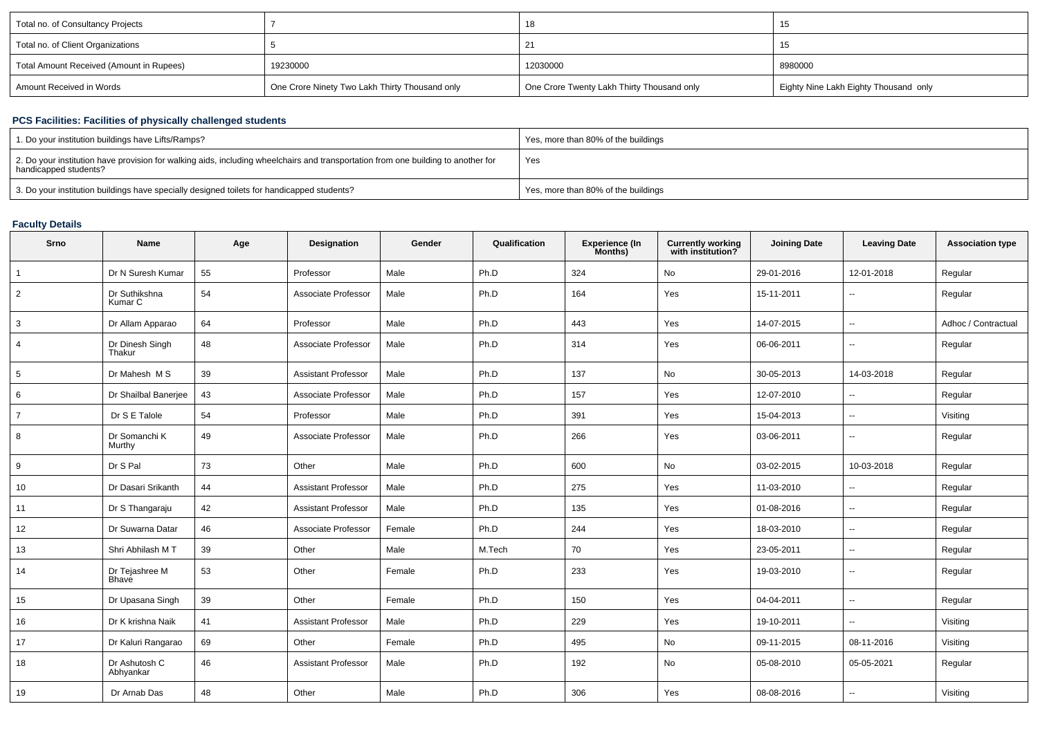| Total no. of Consultancy Projects        |                                                |                                            | ט ו                                   |
|------------------------------------------|------------------------------------------------|--------------------------------------------|---------------------------------------|
| Total no. of Client Organizations        |                                                |                                            | 10                                    |
| Total Amount Received (Amount in Rupees) | 19230000                                       | 12030000                                   | 8980000                               |
| Amount Received in Words                 | One Crore Ninety Two Lakh Thirty Thousand only | One Crore Twenty Lakh Thirty Thousand only | Eighty Nine Lakh Eighty Thousand only |

## **PCS Facilities: Facilities of physically challenged students**

| 1. Do your institution buildings have Lifts/Ramps?                                                                                                         | Yes, more than 80% of the buildings |
|------------------------------------------------------------------------------------------------------------------------------------------------------------|-------------------------------------|
| 2. Do your institution have provision for walking aids, including wheelchairs and transportation from one building to another for<br>handicapped students? | Yes                                 |
| 3. Do your institution buildings have specially designed toilets for handicapped students?                                                                 | Yes, more than 80% of the buildings |

### **Faculty Details**

| Srno           | <b>Name</b>                    | Age | Designation                | Gender | Qualification | <b>Experience (In</b><br>Months) | <b>Currently working</b><br>with institution? | <b>Joining Date</b> | <b>Leaving Date</b>      | <b>Association type</b> |
|----------------|--------------------------------|-----|----------------------------|--------|---------------|----------------------------------|-----------------------------------------------|---------------------|--------------------------|-------------------------|
|                | Dr N Suresh Kumar              | 55  | Professor                  | Male   | Ph.D          | 324                              | No                                            | 29-01-2016          | 12-01-2018               | Regular                 |
| $\overline{2}$ | Dr Suthikshna<br>Kumar C       | 54  | Associate Professor        | Male   | Ph.D          | 164                              | Yes                                           | 15-11-2011          | $\sim$                   | Regular                 |
| 3              | Dr Allam Apparao               | 64  | Professor                  | Male   | Ph.D          | 443                              | Yes                                           | 14-07-2015          | $\overline{\phantom{a}}$ | Adhoc / Contractual     |
| 4              | Dr Dinesh Singh<br>Thakur      | 48  | Associate Professor        | Male   | Ph.D          | 314                              | Yes                                           | 06-06-2011          | $\sim$                   | Regular                 |
| 5              | Dr Mahesh M S                  | 39  | <b>Assistant Professor</b> | Male   | Ph.D          | 137                              | No                                            | 30-05-2013          | 14-03-2018               | Regular                 |
| 6              | Dr Shailbal Banerjee           | 43  | Associate Professor        | Male   | Ph.D          | 157                              | Yes                                           | 12-07-2010          | $\sim$                   | Regular                 |
| $\overline{7}$ | Dr S E Talole                  | 54  | Professor                  | Male   | Ph.D          | 391                              | Yes                                           | 15-04-2013          | $\sim$                   | Visiting                |
| 8              | Dr Somanchi K<br>Murthy        | 49  | Associate Professor        | Male   | Ph.D          | 266                              | Yes                                           | 03-06-2011          | $\sim$                   | Regular                 |
| 9              | Dr S Pal                       | 73  | Other                      | Male   | Ph.D          | 600                              | No                                            | 03-02-2015          | 10-03-2018               | Regular                 |
| 10             | Dr Dasari Srikanth             | 44  | <b>Assistant Professor</b> | Male   | Ph.D          | 275                              | Yes                                           | 11-03-2010          | $\overline{\phantom{a}}$ | Regular                 |
| 11             | Dr S Thangaraju                | 42  | <b>Assistant Professor</b> | Male   | Ph.D          | 135                              | Yes                                           | 01-08-2016          | $\overline{\phantom{a}}$ | Regular                 |
| 12             | Dr Suwarna Datar               | 46  | Associate Professor        | Female | Ph.D          | 244                              | Yes                                           | 18-03-2010          | $\sim$                   | Regular                 |
| 13             | Shri Abhilash MT               | 39  | Other                      | Male   | M.Tech        | 70                               | Yes                                           | 23-05-2011          | $\overline{a}$           | Regular                 |
| 14             | Dr Tejashree M<br><b>Bhave</b> | 53  | Other                      | Female | Ph.D          | 233                              | Yes                                           | 19-03-2010          | $\overline{\phantom{a}}$ | Regular                 |
| 15             | Dr Upasana Singh               | 39  | Other                      | Female | Ph.D          | 150                              | Yes                                           | 04-04-2011          | $\overline{\phantom{a}}$ | Regular                 |
| 16             | Dr K krishna Naik              | 41  | <b>Assistant Professor</b> | Male   | Ph.D          | 229                              | Yes                                           | 19-10-2011          | $\sim$                   | Visiting                |
| 17             | Dr Kaluri Rangarao             | 69  | Other                      | Female | Ph.D          | 495                              | No                                            | 09-11-2015          | 08-11-2016               | Visiting                |
| 18             | Dr Ashutosh C<br>Abhyankar     | 46  | <b>Assistant Professor</b> | Male   | Ph.D          | 192                              | No                                            | 05-08-2010          | 05-05-2021               | Regular                 |
| 19             | Dr Arnab Das                   | 48  | Other                      | Male   | Ph.D          | 306                              | Yes                                           | 08-08-2016          | $\sim$                   | Visiting                |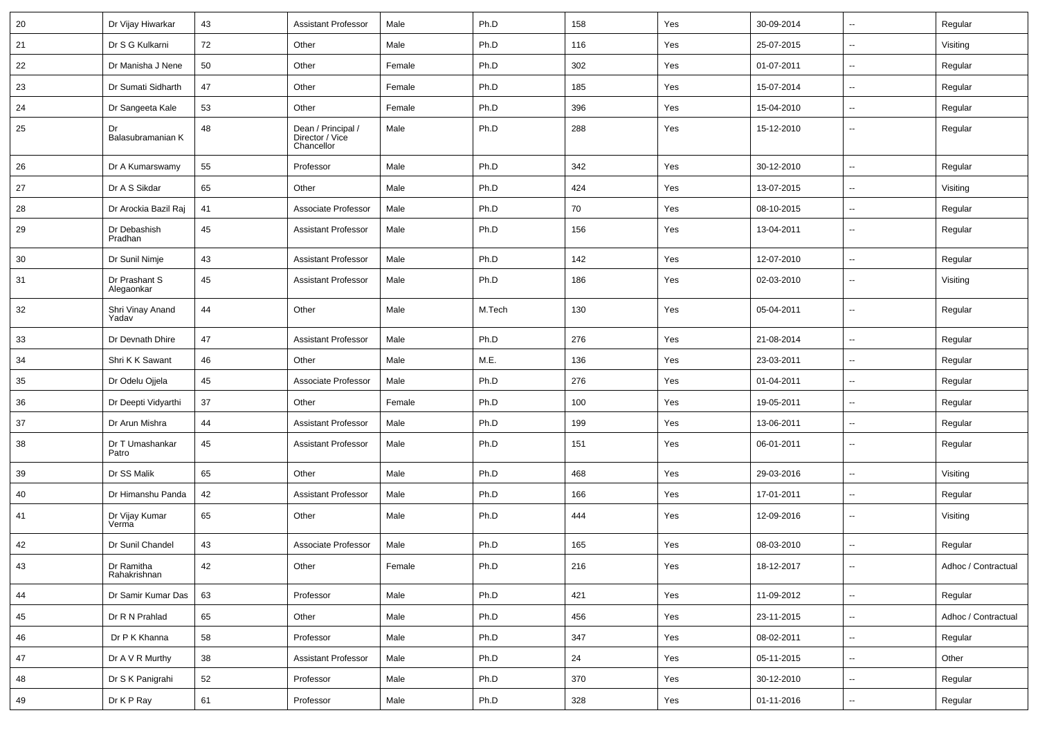| 20 | Dr Vijay Hiwarkar           | 43 | <b>Assistant Professor</b>                          | Male   | Ph.D   | 158 | Yes | 30-09-2014 | $\overline{\phantom{a}}$ | Regular             |
|----|-----------------------------|----|-----------------------------------------------------|--------|--------|-----|-----|------------|--------------------------|---------------------|
| 21 | Dr S G Kulkarni             | 72 | Other                                               | Male   | Ph.D   | 116 | Yes | 25-07-2015 | $\sim$                   | Visiting            |
| 22 | Dr Manisha J Nene           | 50 | Other                                               | Female | Ph.D   | 302 | Yes | 01-07-2011 | $\sim$                   | Regular             |
| 23 | Dr Sumati Sidharth          | 47 | Other                                               | Female | Ph.D   | 185 | Yes | 15-07-2014 | $\overline{\phantom{a}}$ | Regular             |
| 24 | Dr Sangeeta Kale            | 53 | Other                                               | Female | Ph.D   | 396 | Yes | 15-04-2010 | -−                       | Regular             |
| 25 | Dr<br>Balasubramanian K     | 48 | Dean / Principal /<br>Director / Vice<br>Chancellor | Male   | Ph.D   | 288 | Yes | 15-12-2010 | Ξ.                       | Regular             |
| 26 | Dr A Kumarswamy             | 55 | Professor                                           | Male   | Ph.D   | 342 | Yes | 30-12-2010 | $\overline{a}$           | Regular             |
| 27 | Dr A S Sikdar               | 65 | Other                                               | Male   | Ph.D   | 424 | Yes | 13-07-2015 | $\overline{\phantom{a}}$ | Visiting            |
| 28 | Dr Arockia Bazil Raj        | 41 | Associate Professor                                 | Male   | Ph.D   | 70  | Yes | 08-10-2015 | $\sim$                   | Regular             |
| 29 | Dr Debashish<br>Pradhan     | 45 | <b>Assistant Professor</b>                          | Male   | Ph.D   | 156 | Yes | 13-04-2011 | $\sim$                   | Regular             |
| 30 | Dr Sunil Nimje              | 43 | <b>Assistant Professor</b>                          | Male   | Ph.D   | 142 | Yes | 12-07-2010 | ⊷.                       | Regular             |
| 31 | Dr Prashant S<br>Alegaonkar | 45 | <b>Assistant Professor</b>                          | Male   | Ph.D   | 186 | Yes | 02-03-2010 | $\sim$                   | Visiting            |
| 32 | Shri Vinay Anand<br>Yadav   | 44 | Other                                               | Male   | M.Tech | 130 | Yes | 05-04-2011 | $\overline{\phantom{a}}$ | Regular             |
| 33 | Dr Devnath Dhire            | 47 | <b>Assistant Professor</b>                          | Male   | Ph.D   | 276 | Yes | 21-08-2014 | $\sim$                   | Regular             |
| 34 | Shri K K Sawant             | 46 | Other                                               | Male   | M.E.   | 136 | Yes | 23-03-2011 | -−                       | Regular             |
| 35 | Dr Odelu Ojjela             | 45 | Associate Professor                                 | Male   | Ph.D   | 276 | Yes | 01-04-2011 | н.                       | Regular             |
| 36 | Dr Deepti Vidyarthi         | 37 | Other                                               | Female | Ph.D   | 100 | Yes | 19-05-2011 | $\overline{\phantom{a}}$ | Regular             |
| 37 | Dr Arun Mishra              | 44 | <b>Assistant Professor</b>                          | Male   | Ph.D   | 199 | Yes | 13-06-2011 | $\sim$                   | Regular             |
| 38 | Dr T Umashankar<br>Patro    | 45 | <b>Assistant Professor</b>                          | Male   | Ph.D   | 151 | Yes | 06-01-2011 | ⊷.                       | Regular             |
| 39 | Dr SS Malik                 | 65 | Other                                               | Male   | Ph.D   | 468 | Yes | 29-03-2016 | ⊷.                       | Visiting            |
| 40 | Dr Himanshu Panda           | 42 | <b>Assistant Professor</b>                          | Male   | Ph.D   | 166 | Yes | 17-01-2011 | --                       | Regular             |
| 41 | Dr Vijay Kumar<br>Verma     | 65 | Other                                               | Male   | Ph.D   | 444 | Yes | 12-09-2016 | $\overline{\phantom{a}}$ | Visiting            |
| 42 | Dr Sunil Chandel            | 43 | Associate Professor                                 | Male   | Ph.D   | 165 | Yes | 08-03-2010 | $\overline{\phantom{a}}$ | Regular             |
| 43 | Dr Ramitha<br>Rahakrishnan  | 42 | Other                                               | Female | Ph.D   | 216 | Yes | 18-12-2017 |                          | Adhoc / Contractual |
| 44 | Dr Samir Kumar Das          | 63 | Professor                                           | Male   | Ph.D   | 421 | Yes | 11-09-2012 | ш.                       | Regular             |
| 45 | Dr R N Prahlad              | 65 | Other                                               | Male   | Ph.D   | 456 | Yes | 23-11-2015 | ц.                       | Adhoc / Contractual |
| 46 | Dr P K Khanna               | 58 | Professor                                           | Male   | Ph.D   | 347 | Yes | 08-02-2011 | $\overline{\phantom{a}}$ | Regular             |
| 47 | Dr A V R Murthy             | 38 | <b>Assistant Professor</b>                          | Male   | Ph.D   | 24  | Yes | 05-11-2015 | Щ,                       | Other               |
| 48 | Dr S K Panigrahi            | 52 | Professor                                           | Male   | Ph.D   | 370 | Yes | 30-12-2010 | $\overline{\phantom{a}}$ | Regular             |
| 49 | Dr K P Ray                  | 61 | Professor                                           | Male   | Ph.D   | 328 | Yes | 01-11-2016 | $\overline{\phantom{a}}$ | Regular             |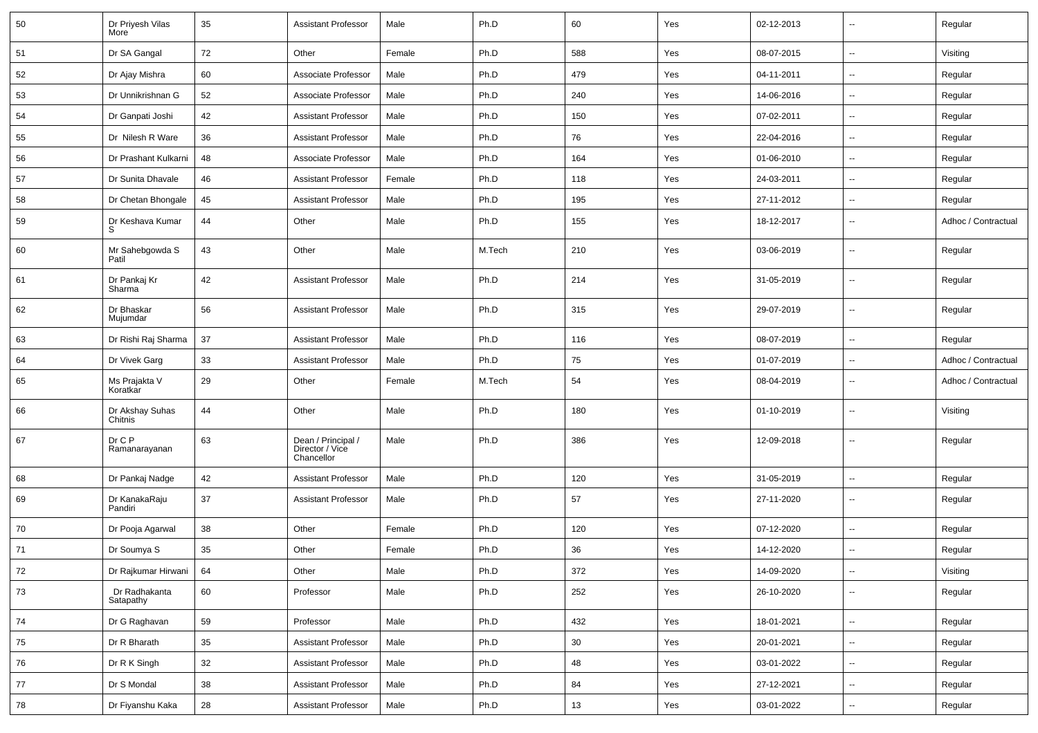| 50 | Dr Priyesh Vilas<br>More   | 35 | <b>Assistant Professor</b>                          | Male   | Ph.D   | 60  | Yes | 02-12-2013 | $\sim$                   | Regular             |
|----|----------------------------|----|-----------------------------------------------------|--------|--------|-----|-----|------------|--------------------------|---------------------|
| 51 | Dr SA Gangal               | 72 | Other                                               | Female | Ph.D   | 588 | Yes | 08-07-2015 | $\sim$                   | Visiting            |
| 52 | Dr Ajay Mishra             | 60 | Associate Professor                                 | Male   | Ph.D   | 479 | Yes | 04-11-2011 | $\sim$                   | Regular             |
| 53 | Dr Unnikrishnan G          | 52 | Associate Professor                                 | Male   | Ph.D   | 240 | Yes | 14-06-2016 | $\overline{\phantom{a}}$ | Regular             |
| 54 | Dr Ganpati Joshi           | 42 | <b>Assistant Professor</b>                          | Male   | Ph.D   | 150 | Yes | 07-02-2011 | --                       | Regular             |
| 55 | Dr Nilesh R Ware           | 36 | <b>Assistant Professor</b>                          | Male   | Ph.D   | 76  | Yes | 22-04-2016 | --                       | Regular             |
| 56 | Dr Prashant Kulkarni       | 48 | Associate Professor                                 | Male   | Ph.D   | 164 | Yes | 01-06-2010 | $\sim$                   | Regular             |
| 57 | Dr Sunita Dhavale          | 46 | <b>Assistant Professor</b>                          | Female | Ph.D   | 118 | Yes | 24-03-2011 | $\sim$                   | Regular             |
| 58 | Dr Chetan Bhongale         | 45 | <b>Assistant Professor</b>                          | Male   | Ph.D   | 195 | Yes | 27-11-2012 | $\sim$                   | Regular             |
| 59 | Dr Keshava Kumar<br>S      | 44 | Other                                               | Male   | Ph.D   | 155 | Yes | 18-12-2017 | $\overline{\phantom{a}}$ | Adhoc / Contractual |
| 60 | Mr Sahebgowda S<br>Patil   | 43 | Other                                               | Male   | M.Tech | 210 | Yes | 03-06-2019 | --                       | Regular             |
| 61 | Dr Pankaj Kr<br>Sharma     | 42 | <b>Assistant Professor</b>                          | Male   | Ph.D   | 214 | Yes | 31-05-2019 | $\overline{\phantom{a}}$ | Regular             |
| 62 | Dr Bhaskar<br>Mujumdar     | 56 | <b>Assistant Professor</b>                          | Male   | Ph.D   | 315 | Yes | 29-07-2019 | --                       | Regular             |
| 63 | Dr Rishi Raj Sharma        | 37 | <b>Assistant Professor</b>                          | Male   | Ph.D   | 116 | Yes | 08-07-2019 | $\overline{\phantom{a}}$ | Regular             |
| 64 | Dr Vivek Garg              | 33 | <b>Assistant Professor</b>                          | Male   | Ph.D   | 75  | Yes | 01-07-2019 | $\overline{\phantom{a}}$ | Adhoc / Contractual |
| 65 | Ms Prajakta V<br>Koratkar  | 29 | Other                                               | Female | M.Tech | 54  | Yes | 08-04-2019 | --                       | Adhoc / Contractual |
| 66 | Dr Akshay Suhas<br>Chitnis | 44 | Other                                               | Male   | Ph.D   | 180 | Yes | 01-10-2019 | --                       | Visiting            |
| 67 | Dr C P<br>Ramanarayanan    | 63 | Dean / Principal /<br>Director / Vice<br>Chancellor | Male   | Ph.D   | 386 | Yes | 12-09-2018 | --                       | Regular             |
| 68 | Dr Pankaj Nadge            | 42 | <b>Assistant Professor</b>                          | Male   | Ph.D   | 120 | Yes | 31-05-2019 | $\sim$                   | Regular             |
| 69 | Dr KanakaRaju<br>Pandiri   | 37 | <b>Assistant Professor</b>                          | Male   | Ph.D   | 57  | Yes | 27-11-2020 | --                       | Regular             |
| 70 | Dr Pooja Agarwal           | 38 | Other                                               | Female | Ph.D   | 120 | Yes | 07-12-2020 | $\overline{\phantom{a}}$ | Regular             |
| 71 | Dr Soumya S                | 35 | Other                                               | Female | Ph.D   | 36  | Yes | 14-12-2020 |                          | Regular             |
| 72 | Dr Rajkumar Hirwani        | 64 | Other                                               | Male   | Ph.D   | 372 | Yes | 14-09-2020 | $\overline{\phantom{a}}$ | Visiting            |
| 73 | Dr Radhakanta<br>Satapathy | 60 | Professor                                           | Male   | Ph.D   | 252 | Yes | 26-10-2020 | $\sim$                   | Regular             |
| 74 | Dr G Raghavan              | 59 | Professor                                           | Male   | Ph.D   | 432 | Yes | 18-01-2021 | $\sim$                   | Regular             |
| 75 | Dr R Bharath               | 35 | <b>Assistant Professor</b>                          | Male   | Ph.D   | 30  | Yes | 20-01-2021 | $\overline{\phantom{a}}$ | Regular             |
| 76 | Dr R K Singh               | 32 | Assistant Professor                                 | Male   | Ph.D   | 48  | Yes | 03-01-2022 | $\overline{\phantom{a}}$ | Regular             |
| 77 | Dr S Mondal                | 38 | <b>Assistant Professor</b>                          | Male   | Ph.D   | 84  | Yes | 27-12-2021 | $\overline{\phantom{a}}$ | Regular             |
| 78 | Dr Fiyanshu Kaka           | 28 | <b>Assistant Professor</b>                          | Male   | Ph.D   | 13  | Yes | 03-01-2022 | ۰.                       | Regular             |